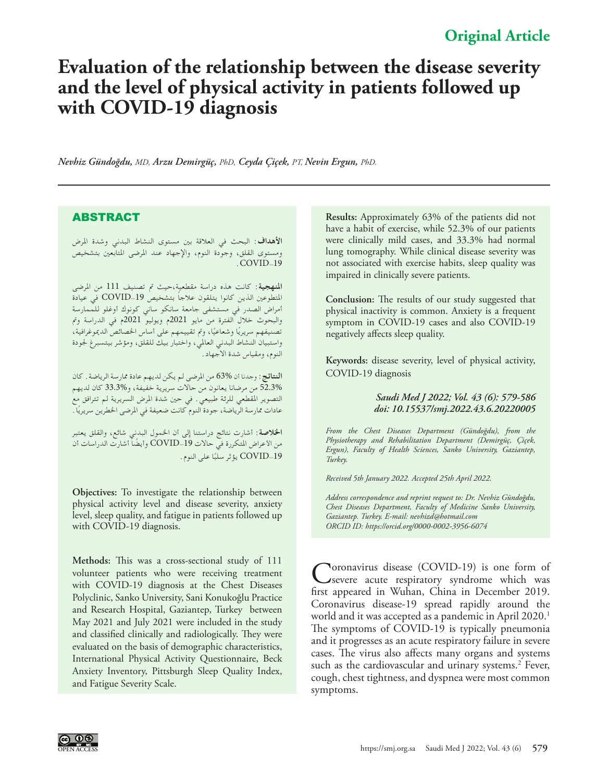## **Evaluation of the relationship between the disease severity and the level of physical activity in patients followed up with COVID-19 diagnosis**

*Nevhiz Gündoğdu, MD, Arzu Demirgüç, PhD, Ceyda Çiçek, PT, Nevin Ergun, PhD.* 

## ABSTRACT

**األهداف**: البحث في العالقة بني مستوى النشاط البدني وشدة املرض ومستوى القلق، وجوَّدة النوم، والإجهاد عند المرضى المتابعين بتشخيص .COVID-19

**املنهجية**: كانت هذه دراسة مقطعية،حيث مت تصنيف 111 من املرضى ً املتطوعني الذين كانوا يتلقون عالجا بتشخيص -19COVID في عيادة أمراض الصدر في مستشفى جامعة سانكو ساني كونوك أوغلو للممارسة والبحوث خالل الفترة من مايو 2021م ويوليو 2021م في الدراسة ومت تصنيفهم سريريًا وشعاعيًا، وتم تقييمهم على أساس الخصائص الديموغرافية، واستبيان النشاط البدني العاملي، واختبار بيك للقلق، ومؤشر بيتسبرغ جلودة النوم، ومقياس شدة االجهاد.

**النتائج**: وجدنا أن 63% من املرضى لم يكن لديهم عادة ممارسة الرياضة. كان 52.3% من مرضانا يعانون من حاالت سريرية خفيفة، و33.3% كان لديهم التصوير املقطعي للرئة طبيعي. في حني شدة املرض السريرية لم تترافق مع عادات ممارسة الرياضة، جودة النوم كانت ضعيفة في المرضى الخطرين سريريًا .

**اخلالصة**: أشارت نتائج دراستنا إلى أن اخلمول البدني شائع، والقلق يعتبر من الأعراض المتكررة في حالات COVID\_19 وأيضًا أشارت الدراسات أن ًا على النوم. -19COVID يؤثر سلب

**Objectives:** To investigate the relationship between physical activity level and disease severity, anxiety level, sleep quality, and fatigue in patients followed up with COVID-19 diagnosis.

**Methods:** This was a cross-sectional study of 111 volunteer patients who were receiving treatment with COVID-19 diagnosis at the Chest Diseases Polyclinic, Sanko University, Sani Konukoğlu Practice and Research Hospital, Gaziantep, Turkey between May 2021 and July 2021 were included in the study and classified clinically and radiologically. They were evaluated on the basis of demographic characteristics, International Physical Activity Questionnaire, Beck Anxiety Inventory, Pittsburgh Sleep Quality Index, and Fatigue Severity Scale.

**Results:** Approximately 63% of the patients did not have a habit of exercise, while 52.3% of our patients were clinically mild cases, and 33.3% had normal lung tomography. While clinical disease severity was not associated with exercise habits, sleep quality was impaired in clinically severe patients.

**Conclusion:** The results of our study suggested that physical inactivity is common. Anxiety is a frequent symptom in COVID-19 cases and also COVID-19 negatively affects sleep quality.

**Keywords:** disease severity, level of physical activity, COVID-19 diagnosis

## *Saudi Med J 2022; Vol. 43 (6): 579-586 doi: 10.15537/smj.2022.43.6.20220005*

*From the Chest Diseases Department (Gündoğdu), from the Physiotherapy and Rehabilitation Department (Demirgüç, Çiçek, Ergun), Faculty of Health Sciences, Sanko University, Gaziantep, Turkey.*

*Received 5th January 2022. Accepted 25th April 2022.*

*Address correspondence and reprint request to: Dr. Nevhiz Gündoğdu, Chest Diseases Department, Faculty of Medicine Sanko University, Gaziantep. Turkey. E-mail: nevhizd@hotmail.com ORCID ID: https://orcid.org/0000-0002-3956-6074*

Coronavirus disease (COVID-19) is one form of severe acute respiratory syndrome which was first appeared in Wuhan, China in December 2019. Coronavirus disease-19 spread rapidly around the world and it was accepted as a pandemic in April 2020.<sup>1</sup> The symptoms of COVID-19 is typically pneumonia and it progresses as an acute respiratory failure in severe cases. The virus also affects many organs and systems such as the cardiovascular and urinary systems.<sup>2</sup> Fever, cough, chest tightness, and dyspnea were most common symptoms.

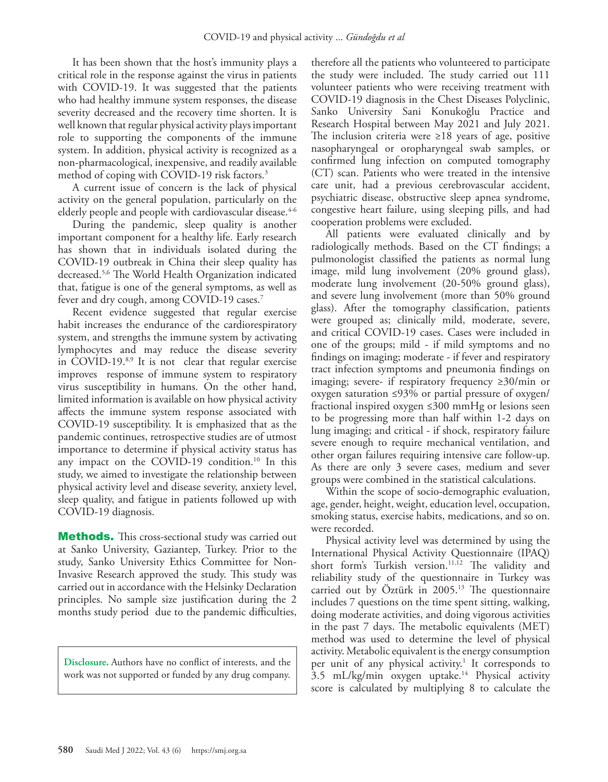It has been shown that the host's immunity plays a critical role in the response against the virus in patients with COVID-19. It was suggested that the patients who had healthy immune system responses, the disease severity decreased and the recovery time shorten. It is well known that regular physical activity plays important role to supporting the components of the immune system. In addition, physical activity is recognized as a non-pharmacological, inexpensive, and readily available method of coping with COVID-19 risk factors.<sup>3</sup>

A current issue of concern is the lack of physical activity on the general population, particularly on the elderly people and people with cardiovascular disease.<sup>4[-6](#page-6-4)</sup>

During the pandemic, sleep quality is another important component for a healthy life. Early research has shown that in individuals isolated during the COVID-19 outbreak in China their sleep quality has decreased.[5,](#page-6-5)6 The World Health Organization indicated that, fatigue is one of the general symptoms, as well as fever and dry cough, among COVID-19 cases.[7](#page-6-6)

Recent evidence suggested that regular exercise habit increases the endurance of the cardiorespiratory system, and strengths the immune system by activating lymphocytes and may reduce the disease severity in COVID-19.<sup>[8,](#page-6-7)9</sup> It is not clear that regular exercise improves response of immune system to respiratory virus susceptibility in humans. On the other hand, limited information is available on how physical activity affects the immune system response associated with COVID-19 susceptibility. It is emphasized that as the pandemic continues, retrospective studies are of utmost importance to determine if physical activity status has any impact on the COVID-19 condition.<sup>10</sup> In this study, we aimed to investigate the relationship between physical activity level and disease severity, anxiety level, sleep quality, and fatigue in patients followed up with COVID-19 diagnosis.

**Methods.** This cross-sectional study was carried out at Sanko University, Gaziantep, Turkey. Prior to the study, Sanko University Ethics Committee for Non-Invasive Research approved the study. This study was carried out in accordance with the Helsinky Declaration principles. No sample size justification during the 2 months study period due to the pandemic difficulties,

**Disclosure.** Authors have no conflict of interests, and the work was not supported or funded by any drug company.

therefore all the patients who volunteered to participate the study were included. The study carried out 111 volunteer patients who were receiving treatment with COVID-19 diagnosis in the Chest Diseases Polyclinic, Sanko University Sani Konukoğlu Practice and Research Hospital between May 2021 and July 2021. The inclusion criteria were ≥18 years of age, positive nasopharyngeal or oropharyngeal swab samples, or confirmed lung infection on computed tomography (CT) scan. Patients who were treated in the intensive care unit, had a previous cerebrovascular accident, psychiatric disease, obstructive sleep apnea syndrome, congestive heart failure, using sleeping pills, and had cooperation problems were excluded.

All patients were evaluated clinically and by radiologically methods. Based on the CT findings; a pulmonologist classified the patients as normal lung image, mild lung involvement (20% ground glass), moderate lung involvement (20-50% ground glass), and severe lung involvement (more than 50% ground glass). After the tomography classification, patients were grouped as; clinically mild, moderate, severe, and critical COVID-19 cases. Cases were included in one of the groups; mild - if mild symptoms and no findings on imaging; moderate - if fever and respiratory tract infection symptoms and pneumonia findings on imaging; severe- if respiratory frequency ≥30/min or oxygen saturation ≤93% or partial pressure of oxygen/ fractional inspired oxygen ≤300 mmHg or lesions seen to be progressing more than half within 1-2 days on lung imaging; and critical - if shock, respiratory failure severe enough to require mechanical ventilation, and other organ failures requiring intensive care follow-up. As there are only 3 severe cases, medium and sever groups were combined in the statistical calculations.

Within the scope of socio-demographic evaluation, age, gender, height, weight, education level, occupation, smoking status, exercise habits, medications, and so on. were recorded.

Physical activity level was determined by using the International Physical Activity Questionnaire (IPAQ) short form's Turkish version.<sup>[11](#page-6-10),[12](#page-7-0)</sup> The validity and reliability study of the questionnaire in Turkey was carried out by Öztürk in  $2005.^{13}$  The questionnaire includes 7 questions on the time spent sitting, walking, doing moderate activities, and doing vigorous activities in the past 7 days. The metabolic equivalents (MET) method was used to determine the level of physical activity. Metabolic equivalent is the energy consumption per unit of any physical activity.<sup>1</sup> It corresponds to 3.5 mL/kg/min oxygen uptake.[14](#page-7-2) Physical activity score is calculated by multiplying 8 to calculate the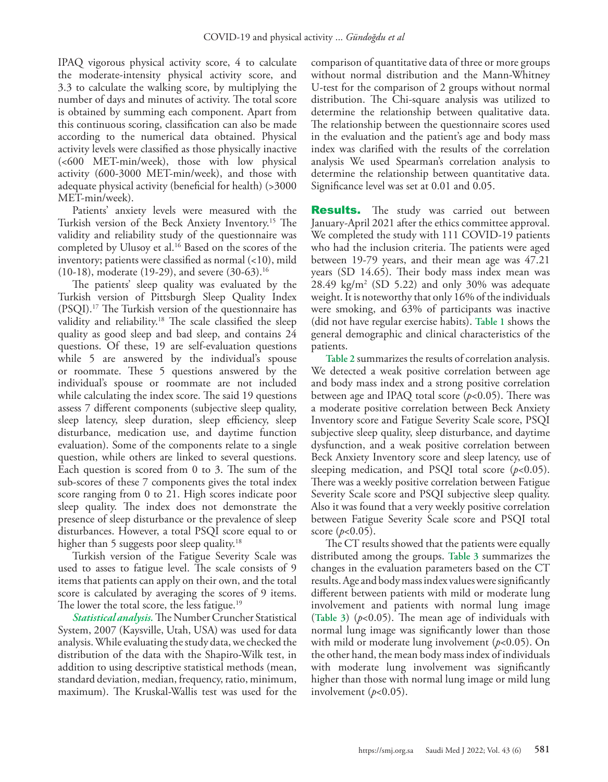IPAQ vigorous physical activity score, 4 to calculate the moderate-intensity physical activity score, and 3.3 to calculate the walking score, by multiplying the number of days and minutes of activity. The total score is obtained by summing each component. Apart from this continuous scoring, classification can also be made according to the numerical data obtained. Physical activity levels were classified as those physically inactive (<600 MET-min/week), those with low physical activity (600-3000 MET-min/week), and those with adequate physical activity (beneficial for health) (>3000 MET-min/week).

Patients' anxiety levels were measured with the Turkish version of the Beck Anxiety Inventory.[15](#page-7-3) The validity and reliability study of the questionnaire was completed by Ulusoy et al.<sup>[16](#page-7-4)</sup> Based on the scores of the inventory; patients were classified as normal (<10), mild (10-18), moderate (19-29), and severe (30-63).[16](#page-7-4)

The patients' sleep quality was evaluated by the Turkish version of Pittsburgh Sleep Quality Index (PSQI).17 The Turkish version of the questionnaire has validity and reliability.<sup>18</sup> The scale classified the sleep quality as good sleep and bad sleep, and contains 24 questions. Of these, 19 are self-evaluation questions while 5 are answered by the individual's spouse or roommate. These 5 questions answered by the individual's spouse or roommate are not included while calculating the index score. The said 19 questions assess 7 different components (subjective sleep quality, sleep latency, sleep duration, sleep efficiency, sleep disturbance, medication use, and daytime function evaluation). Some of the components relate to a single question, while others are linked to several questions. Each question is scored from 0 to 3. The sum of the sub-scores of these 7 components gives the total index score ranging from 0 to 21. High scores indicate poor sleep quality. The index does not demonstrate the presence of sleep disturbance or the prevalence of sleep disturbances. However, a total PSQI score equal to or higher than 5 suggests poor sleep quality.<sup>18</sup>

Turkish version of the Fatigue Severity Scale was used to asses to fatigue level. The scale consists of 9 items that patients can apply on their own, and the total score is calculated by averaging the scores of 9 items. The lower the total score, the less fatigue.<sup>[19](#page-7-6)</sup>

*Statistical analysis.* The Number Cruncher Statistical System, 2007 (Kaysville, Utah, USA) was used for data analysis. While evaluating the study data, we checked the distribution of the data with the Shapiro-Wilk test, in addition to using descriptive statistical methods (mean, standard deviation, median, frequency, ratio, minimum, maximum). The Kruskal-Wallis test was used for the

comparison of quantitative data of three or more groups without normal distribution and the Mann-Whitney U-test for the comparison of 2 groups without normal distribution. The Chi-square analysis was utilized to determine the relationship between qualitative data. The relationship between the questionnaire scores used in the evaluation and the patient's age and body mass index was clarified with the results of the correlation analysis We used Spearman's correlation analysis to determine the relationship between quantitative data. Significance level was set at 0.01 and 0.05.

**Results.** The study was carried out between January-April 2021 after the ethics committee approval. We completed the study with 111 COVID-19 patients who had the inclusion criteria. The patients were aged between 19-79 years, and their mean age was 47.21 years (SD 14.65). Their body mass index mean was  $28.49 \text{ kg/m}^2 \text{ (SD 5.22)}$  and only 30% was adequate weight. It is noteworthy that only 16% of the individuals were smoking, and 63% of participants was inactive (did not have regular exercise habits). **Table 1** shows the general demographic and clinical characteristics of the patients.

**Table 2** summarizes the results of correlation analysis. We detected a weak positive correlation between age and body mass index and a strong positive correlation between age and IPAQ total score (*p*<0.05). There was a moderate positive correlation between Beck Anxiety Inventory score and Fatigue Severity Scale score, PSQI subjective sleep quality, sleep disturbance, and daytime dysfunction, and a weak positive correlation between Beck Anxiety Inventory score and sleep latency, use of sleeping medication, and PSQI total score (*p*<0.05). There was a weekly positive correlation between Fatigue Severity Scale score and PSQI subjective sleep quality. Also it was found that a very weekly positive correlation between Fatigue Severity Scale score and PSQI total score  $(p<0.05)$ .

The CT results showed that the patients were equally distributed among the groups. **Table 3** summarizes the changes in the evaluation parameters based on the CT results. Age and body mass index values were significantly different between patients with mild or moderate lung involvement and patients with normal lung image (**Table 3**) (*p*<0.05). The mean age of individuals with normal lung image was significantly lower than those with mild or moderate lung involvement (*p*<0.05). On the other hand, the mean body mass index of individuals with moderate lung involvement was significantly higher than those with normal lung image or mild lung involvement (*p*<0.05).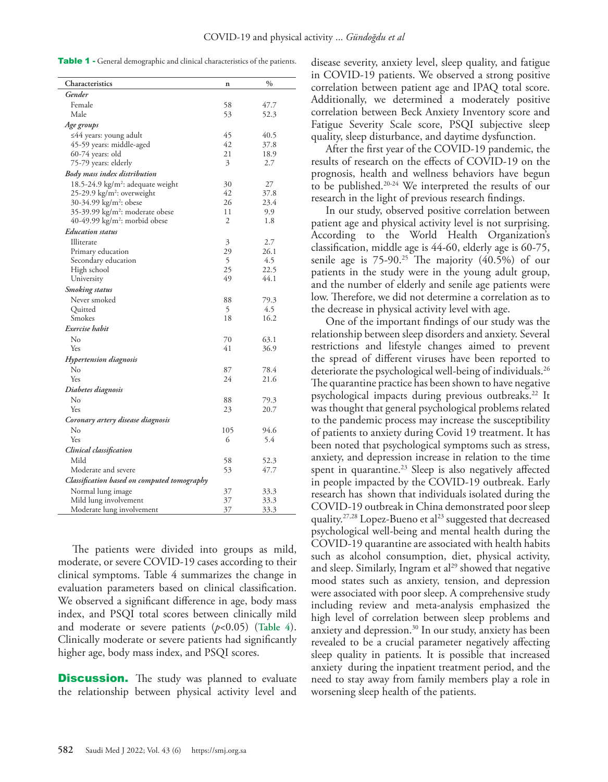| Table 1 - General demographic and clinical characteristics of the patients. |  |
|-----------------------------------------------------------------------------|--|
|-----------------------------------------------------------------------------|--|

| Characteristics<br>$\%$<br>$\mathbf n$                                 |  |
|------------------------------------------------------------------------|--|
| Gender                                                                 |  |
| Female<br>58<br>47.7                                                   |  |
| Male<br>53<br>52.3                                                     |  |
|                                                                        |  |
| Age groups<br>45<br>40.5                                               |  |
| ≤44 years: young adult<br>42<br>45-59 years: middle-aged<br>37.8       |  |
| 21<br>60-74 years: old<br>18.9                                         |  |
| 3<br>75-79 years: elderly<br>2.7                                       |  |
| Body mass index distribution                                           |  |
| 18.5-24.9 kg/m <sup>2</sup> : adequate weight<br>30<br>27              |  |
| 25-29.9 kg/m <sup>2</sup> : overweight<br>42<br>37.8                   |  |
| 30-34.99 kg/m <sup>2</sup> : obese<br>26<br>23.4                       |  |
| 35-39.99 kg/m <sup>2</sup> : moderate obese<br>11<br>9.9               |  |
| 40-49.99 kg/m <sup>2</sup> : morbid obese<br>2<br>1.8                  |  |
| <b>Education</b> status                                                |  |
| 3<br>2.7<br>Illiterate                                                 |  |
| 29<br>26.1<br>Primary education                                        |  |
| 5<br>4.5<br>Secondary education                                        |  |
| 25<br>22.5<br>High school                                              |  |
| 44.1<br>49<br>University                                               |  |
| <b>Smoking</b> status                                                  |  |
| Never smoked<br>88<br>79.3                                             |  |
| 5<br>4.5<br>Quitted                                                    |  |
| 18<br>16.2<br>Smokes                                                   |  |
| Exercise habit                                                         |  |
| No<br>70<br>63.1                                                       |  |
| 41<br>36.9<br>Yes                                                      |  |
| <b>Hypertension</b> diagnosis                                          |  |
| $\rm No$<br>87<br>78.4                                                 |  |
| 24<br>21.6<br>Yes                                                      |  |
| Diabetes diagnosis                                                     |  |
| No<br>88<br>79.3                                                       |  |
| 23<br>20.7<br>Yes                                                      |  |
| Coronary artery disease diagnosis                                      |  |
| $\rm No$<br>105<br>94.6                                                |  |
| 6<br>5.4<br>Yes                                                        |  |
| Clinical classification                                                |  |
| Mild<br>58<br>52.3                                                     |  |
| 53<br>47.7<br>Moderate and severe                                      |  |
| Classification based on computed tomography                            |  |
|                                                                        |  |
| 37<br>33.3<br>Normal lung image<br>37<br>Mild lung involvement<br>33.3 |  |
| 37<br>33.3<br>Moderate lung involvement                                |  |

The patients were divided into groups as mild, moderate, or severe COVID-19 cases according to their clinical symptoms. Table 4 summarizes the change in evaluation parameters based on clinical classification. We observed a significant difference in age, body mass index, and PSQI total scores between clinically mild and moderate or severe patients (*p*<0.05) (**Table 4**). Clinically moderate or severe patients had significantly higher age, body mass index, and PSQI scores.

**Discussion.** The study was planned to evaluate the relationship between physical activity level and disease severity, anxiety level, sleep quality, and fatigue in COVID-19 patients. We observed a strong positive correlation between patient age and IPAQ total score. Additionally, we determined a moderately positive correlation between Beck Anxiety Inventory score and Fatigue Severity Scale score, PSQI subjective sleep quality, sleep disturbance, and daytime dysfunction.

After the first year of the COVID-19 pandemic, the results of research on the effects of COVID-19 on the prognosis, health and wellness behaviors have begun to be published.[20-](#page-7-7)[24](#page-7-8) We interpreted the results of our research in the light of previous research findings.

In our study, observed positive correlation between patient age and physical activity level is not surprising. According to the World Health Organization's classification, middle age is 44-60, elderly age is 60-75, senile age is  $75-90.^{25}$  The majority  $(40.5%)$  of our patients in the study were in the young adult group, and the number of elderly and senile age patients were low. Therefore, we did not determine a correlation as to the decrease in physical activity level with age.

One of the important findings of our study was the relationship between sleep disorders and anxiety. Several restrictions and lifestyle changes aimed to prevent the spread of different viruses have been reported to deteriorate the psychological well-being of individuals.<sup>26</sup> The quarantine practice has been shown to have negative psychological impacts during previous outbreaks.<sup>[22](#page-7-11)</sup> It was thought that general psychological problems related to the pandemic process may increase the susceptibility of patients to anxiety during Covid 19 treatment. It has been noted that psychological symptoms such as stress, anxiety, and depression increase in relation to the time spent in quarantine. $23$  Sleep is also negatively affected in people impacted by the COVID-19 outbreak. Early research has shown that individuals isolated during the COVID-19 outbreak in China demonstrated poor sleep quality.<sup>[27](#page-7-13),[28](#page-7-14)</sup> Lopez-Bueno et al<sup>23</sup> suggested that decreased psychological well-being and mental health during the COVID-19 quarantine are associated with health habits such as alcohol consumption, diet, physical activity, and sleep. Similarly, Ingram et al<sup>29</sup> showed that negative mood states such as anxiety, tension, and depression were associated with poor sleep. A comprehensive study including review and meta-analysis emphasized the high level of correlation between sleep problems and anxiety and depression.<sup>30</sup> In our study, anxiety has been revealed to be a crucial parameter negatively affecting sleep quality in patients. It is possible that increased anxiety during the inpatient treatment period, and the need to stay away from family members play a role in worsening sleep health of the patients.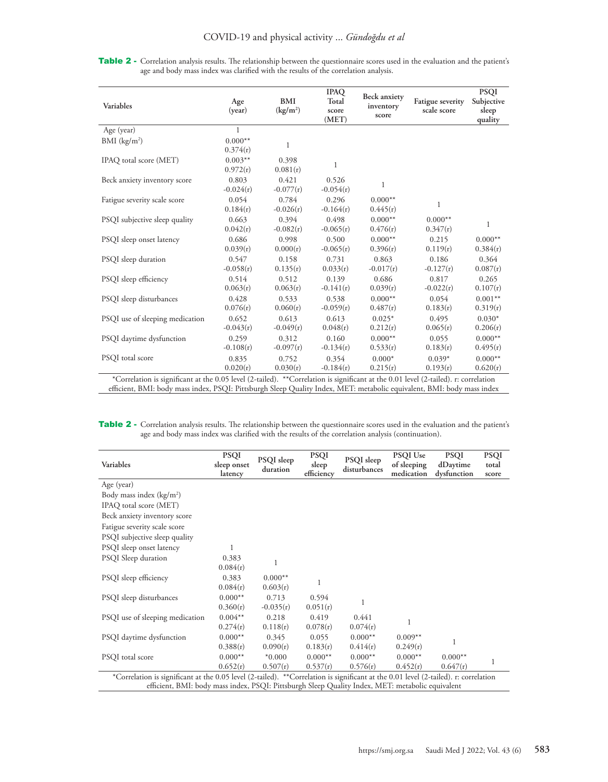Table 2 - Correlation analysis results. The relationship between the questionnaire scores used in the evaluation and the patient's age and body mass index was clarified with the results of the correlation analysis.

| Variables                                | Age<br>(year)                                           | BMI<br>(kg/m <sup>2</sup> ) | <b>IPAQ</b><br>Total<br>score<br>(MET)         | <b>Beck anxiety</b><br>inventory<br>score | Fatigue severity<br>scale score | <b>PSQI</b><br>Subjective<br>sleep<br>quality |
|------------------------------------------|---------------------------------------------------------|-----------------------------|------------------------------------------------|-------------------------------------------|---------------------------------|-----------------------------------------------|
| Age (year)                               | $\mathbf{1}$                                            |                             |                                                |                                           |                                 |                                               |
| $BMI$ (kg/m <sup>2</sup> )               | $0.000**$<br>0.374(r)                                   | 1                           |                                                |                                           |                                 |                                               |
| IPAQ total score (MET)                   | $0.003**$<br>0.972(r)                                   | 0.398<br>0.081(r)           | 1                                              |                                           |                                 |                                               |
| Beck anxiety inventory score             | 0.803<br>$-0.024(r)$                                    | 0.421<br>$-0.077(r)$        | 0.526<br>$-0.054(r)$                           | 1                                         |                                 |                                               |
| Fatigue severity scale score             | 0.054<br>0.184(r)                                       | 0.784<br>$-0.026(r)$        | 0.296<br>$-0.164(r)$                           | $0.000**$<br>0.445(r)                     | 1                               |                                               |
| PSQI subjective sleep quality            | 0.663<br>0.042(r)                                       | 0.394<br>$-0.082(r)$        | 0.498<br>$-0.065(r)$                           | $0.000**$<br>0.476(r)                     | $0.000**$<br>0.347(r)           | $\mathbf 1$                                   |
| PSQI sleep onset latency                 | 0.686<br>0.039(r)                                       | 0.998<br>0.000(r)           | 0.500<br>$-0.065(r)$                           | $0.000**$<br>0.396(r)                     | 0.215<br>0.119(r)               | $0.000**$<br>0.384(r)                         |
| PSQI sleep duration                      | 0.547<br>$-0.058(r)$                                    | 0.158<br>0.135(r)           | 0.731<br>0.033(r)                              | 0.863<br>$-0.017(r)$                      | 0.186<br>$-0.127(r)$            | 0.364<br>0.087(r)                             |
| PSQI sleep efficiency                    | 0.514<br>0.063(r)                                       | 0.512<br>0.063(r)           | 0.139<br>$-0.141(r)$                           | 0.686<br>0.039(r)                         | 0.817<br>$-0.022(r)$            | 0.265<br>0.107(r)                             |
| PSQI sleep disturbances                  | 0.428<br>0.076(r)                                       | 0.533<br>0.060(r)           | 0.538<br>$-0.059(r)$                           | $0.000**$<br>0.487(r)                     | 0.054<br>0.183(r)               | $0.001**$<br>0.319(r)                         |
| PSQI use of sleeping medication          | 0.652<br>$-0.043(r)$                                    | 0.613<br>$-0.049(r)$        | 0.613<br>0.048(r)                              | $0.025*$<br>0.212(r)                      | 0.495<br>0.065(r)               | $0.030*$<br>0.206(r)                          |
| PSQI daytime dysfunction                 | 0.259                                                   | 0.312                       | 0.160                                          | $0.000**$                                 | 0.055                           | $0.000**$                                     |
|                                          | $-0.108(r)$                                             | $-0.097(r)$                 | $-0.134(r)$                                    | 0.533(r)                                  | 0.183(r)                        | 0.495(r)                                      |
| PSOI total score                         | 0.835                                                   | 0.752                       | 0.354                                          | $0.000*$                                  | $0.039*$                        | $0.000**$                                     |
| $\cdot$ $\sim$<br>$\cdots$<br>$\sqrt{2}$ | 0.020(r)<br>$1 \quad 0 \quad 0 \quad 1 \quad 1 \quad 0$ | 0.030(r)<br>$+1$ 1) $+/-$   | $-0.184(r)$<br>$\cdot$ $\cdot$ $\cdot$ $\circ$ | 0.215(r)<br>$1 \cap 011$                  | 0.193(r)<br>$1/2$ $1 \quad 1$   | 0.620(r)<br>$\mathbf{1}$                      |

\*Correlation is significant at the 0.05 level (2-tailed). \*\*Correlation is significant at the 0.01 level (2-tailed). r: correlation efficient, BMI: body mass index, PSQI: Pittsburgh Sleep Quality Index, MET: metabolic equivalent, BMI: body mass index

Table 2 - Correlation analysis results. The relationship between the questionnaire scores used in the evaluation and the patient's age and body mass index was clarified with the results of the correlation analysis (continuation).

| Variables                                                                                                                                                                                                                               | <b>PSQI</b><br>sleep onset<br>latency | PSQI sleep<br>duration | <b>PSQI</b><br>sleep<br>efficiency | PSQI sleep<br>disturbances | <b>PSQI</b> Use<br>of sleeping<br>medication | <b>PSQI</b><br>dDaytime<br>dysfunction | <b>PSQI</b><br>total<br>score |
|-----------------------------------------------------------------------------------------------------------------------------------------------------------------------------------------------------------------------------------------|---------------------------------------|------------------------|------------------------------------|----------------------------|----------------------------------------------|----------------------------------------|-------------------------------|
| Age (year)                                                                                                                                                                                                                              |                                       |                        |                                    |                            |                                              |                                        |                               |
| Body mass index $(kg/m2)$                                                                                                                                                                                                               |                                       |                        |                                    |                            |                                              |                                        |                               |
| IPAQ total score (MET)                                                                                                                                                                                                                  |                                       |                        |                                    |                            |                                              |                                        |                               |
| Beck anxiety inventory score                                                                                                                                                                                                            |                                       |                        |                                    |                            |                                              |                                        |                               |
| Fatigue severity scale score                                                                                                                                                                                                            |                                       |                        |                                    |                            |                                              |                                        |                               |
| PSQI subjective sleep quality                                                                                                                                                                                                           |                                       |                        |                                    |                            |                                              |                                        |                               |
| PSQI sleep onset latency                                                                                                                                                                                                                |                                       |                        |                                    |                            |                                              |                                        |                               |
| PSQI Sleep duration                                                                                                                                                                                                                     | 0.383<br>0.084(r)                     |                        |                                    |                            |                                              |                                        |                               |
| PSQI sleep efficiency                                                                                                                                                                                                                   | 0.383<br>0.084(r)                     | $0.000**$<br>0.603(r)  | 1                                  |                            |                                              |                                        |                               |
| PSQI sleep disturbances                                                                                                                                                                                                                 | $0.000**$<br>0.360(r)                 | 0.713<br>$-0.035(r)$   | 0.594<br>0.051(r)                  | 1                          |                                              |                                        |                               |
| PSQI use of sleeping medication                                                                                                                                                                                                         | $0.004**$<br>0.274(r)                 | 0.218<br>0.118(r)      | 0.419<br>0.078(r)                  | 0.441<br>0.074(r)          | 1                                            |                                        |                               |
| PSQI daytime dysfunction                                                                                                                                                                                                                | $0.000**$<br>0.388(r)                 | 0.345<br>0.090(r)      | 0.055<br>0.183(r)                  | $0.000**$<br>0.414(r)      | $0.009**$<br>0.249(r)                        | 1                                      |                               |
| PSQI total score                                                                                                                                                                                                                        | $0.000**$                             | $*0.000$               | $0.000**$                          | $0.000**$                  | $0.000**$                                    | $0.000**$                              | 1                             |
|                                                                                                                                                                                                                                         | 0.652(r)                              | 0.507(r)               | 0.537(r)                           | 0.576(r)                   | 0.452(r)                                     | 0.647(r)                               |                               |
| *Correlation is significant at the 0.05 level (2-tailed). **Correlation is significant at the 0.01 level (2-tailed). r: correlation<br>efficient, BMI: body mass index, PSQI: Pittsburgh Sleep Quality Index, MET: metabolic equivalent |                                       |                        |                                    |                            |                                              |                                        |                               |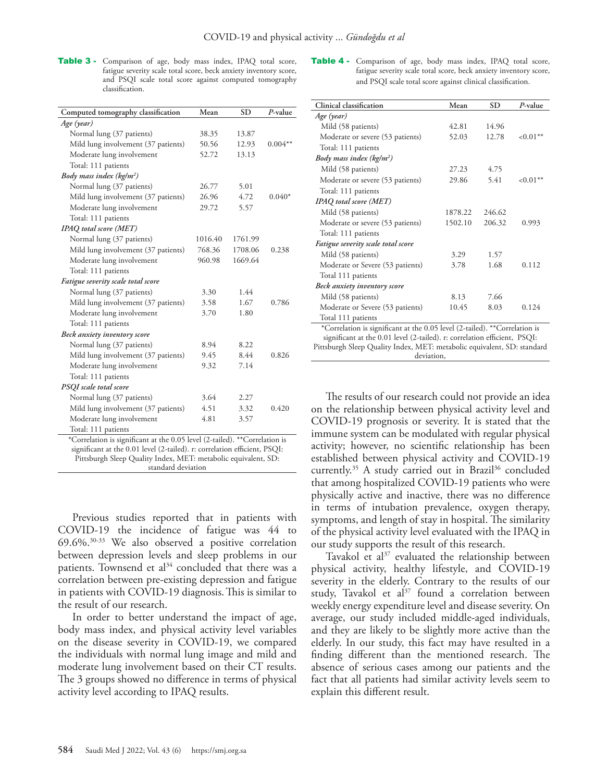Table 3 - Comparison of age, body mass index, IPAQ total score, fatigue severity scale total score, beck anxiety inventory score, and PSQI scale total score against computed tomography classification.

| Computed tomography classification                                         | Mean    | <b>SD</b> | $P$ -value |  |  |  |
|----------------------------------------------------------------------------|---------|-----------|------------|--|--|--|
| Age (year)                                                                 |         |           |            |  |  |  |
| Normal lung (37 patients)                                                  | 38.35   | 13.87     |            |  |  |  |
| Mild lung involvement (37 patients)                                        | 50.56   | 12.93     | $0.004**$  |  |  |  |
| Moderate lung involvement                                                  | 52.72   | 13.13     |            |  |  |  |
| Total: 111 patients                                                        |         |           |            |  |  |  |
| Body mass index ( $kg/m^2$ )                                               |         |           |            |  |  |  |
| Normal lung (37 patients)                                                  | 26.77   | 5.01      |            |  |  |  |
| Mild lung involvement (37 patients)                                        | 26.96   | 4.72      | $0.040*$   |  |  |  |
| Moderate lung involvement                                                  | 29.72   | 5.57      |            |  |  |  |
| Total: 111 patients                                                        |         |           |            |  |  |  |
| <b>IPAQ</b> total score (MET)                                              |         |           |            |  |  |  |
| Normal lung (37 patients)                                                  | 1016.40 | 1761.99   |            |  |  |  |
| Mild lung involvement (37 patients)                                        | 768.36  | 1708.06   | 0.238      |  |  |  |
| Moderate lung involvement                                                  | 960.98  | 1669.64   |            |  |  |  |
| Total: 111 patients                                                        |         |           |            |  |  |  |
| Fatigue severity scale total score                                         |         |           |            |  |  |  |
| Normal lung (37 patients)                                                  | 3.30    | 1.44      |            |  |  |  |
| Mild lung involvement (37 patients)                                        | 3.58    | 1.67      | 0.786      |  |  |  |
| Moderate lung involvement                                                  | 3.70    | 1.80      |            |  |  |  |
| Total: 111 patients                                                        |         |           |            |  |  |  |
| Beck anxiety inventory score                                               |         |           |            |  |  |  |
| Normal lung (37 patients)                                                  | 8.94    | 8.22      |            |  |  |  |
| Mild lung involvement (37 patients)                                        | 9.45    | 8.44      | 0.826      |  |  |  |
| Moderate lung involvement                                                  | 9.32    | 7.14      |            |  |  |  |
| Total: 111 patients                                                        |         |           |            |  |  |  |
| <b>PSQI</b> scale total score                                              |         |           |            |  |  |  |
| Normal lung (37 patients)                                                  | 3.64    | 2.27      |            |  |  |  |
| Mild lung involvement (37 patients)                                        | 4.51    | 3.32      | 0.420      |  |  |  |
| Moderate lung involvement                                                  | 4.81    | 3.57      |            |  |  |  |
| Total: 111 patients                                                        |         |           |            |  |  |  |
| *Correlation is significant at the 0.05 level (2-tailed). **Correlation is |         |           |            |  |  |  |
| significant at the 0.01 level (2-tailed). r: correlation efficient, PSQI:  |         |           |            |  |  |  |
| Pittsburgh Sleep Quality Index, MET: metabolic equivalent, SD:             |         |           |            |  |  |  |
| standard deviation                                                         |         |           |            |  |  |  |

Previous studies reported that in patients with COVID-19 the incidence of fatigue was 44 to 69.6%.[30](#page-7-15)[-33](#page-7-16) We also observed a positive correlation between depression levels and sleep problems in our patients. Townsend et al<sup>34</sup> concluded that there was a correlation between pre-existing depression and fatigue in patients with COVID-19 diagnosis.This is similar to the result of our research.

In order to better understand the impact of age, body mass index, and physical activity level variables on the disease severity in COVID-19, we compared the individuals with normal lung image and mild and moderate lung involvement based on their CT results. The 3 groups showed no difference in terms of physical activity level according to IPAQ results.

Table 4 - Comparison of age, body mass index, IPAQ total score, fatigue severity scale total score, beck anxiety inventory score, and PSQI scale total score against clinical classification.

| Clinical classification                                                                                                                                 | Mean    | <b>SD</b> | $P$ -value   |  |  |  |
|---------------------------------------------------------------------------------------------------------------------------------------------------------|---------|-----------|--------------|--|--|--|
| Age (year)                                                                                                                                              |         |           |              |  |  |  |
| Mild (58 patients)                                                                                                                                      | 42.81   | 14.96     |              |  |  |  |
| Moderate or severe (53 patients)                                                                                                                        | 52.03   | 12.78     | ${<}0.01**$  |  |  |  |
| Total: 111 patients                                                                                                                                     |         |           |              |  |  |  |
| Body mass index ( $kg/m^2$ )                                                                                                                            |         |           |              |  |  |  |
| Mild (58 patients)                                                                                                                                      | 27.23   | 4.75      |              |  |  |  |
| Moderate or severe (53 patients)                                                                                                                        | 29.86   | 5.41      | ${<}0.01***$ |  |  |  |
| Total: 111 patients                                                                                                                                     |         |           |              |  |  |  |
| <b>IPAQ</b> total score (MET)                                                                                                                           |         |           |              |  |  |  |
| Mild (58 patients)                                                                                                                                      | 1878.22 | 246.62    |              |  |  |  |
| Moderate or severe (53 patients)                                                                                                                        | 1502.10 | 206.32    | 0.993        |  |  |  |
| Total: 111 patients                                                                                                                                     |         |           |              |  |  |  |
| Fatigue severity scale total score                                                                                                                      |         |           |              |  |  |  |
| Mild (58 patients)                                                                                                                                      | 3.29    | 1.57      |              |  |  |  |
| Moderate or Severe (53 patients)                                                                                                                        | 3.78    | 1.68      | 0.112        |  |  |  |
| Total 111 patients                                                                                                                                      |         |           |              |  |  |  |
| Beck anxiety inventory score                                                                                                                            |         |           |              |  |  |  |
| Mild (58 patients)                                                                                                                                      | 8.13    | 7.66      |              |  |  |  |
| Moderate or Severe (53 patients)                                                                                                                        | 10.45   | 8.03      | 0.124        |  |  |  |
| Total 111 patients                                                                                                                                      |         |           |              |  |  |  |
| *Correlation is significant at the 0.05 level (2-tailed). **Correlation is<br>significant at the 0.01 level (2-tailed). r: correlation efficient, PSQI: |         |           |              |  |  |  |
| Pittsburgh Sleep Quality Index, MET: metabolic equivalent, SD: standard                                                                                 |         |           |              |  |  |  |
| deviation,                                                                                                                                              |         |           |              |  |  |  |

The results of our research could not provide an idea on the relationship between physical activity level and COVID-19 prognosis or severity. It is stated that the immune system can be modulated with regular physical activity; however, no scientific relationship has been established between physical activity and COVID-19 currently.<sup>35</sup> A study carried out in Brazil<sup>[36](#page-7-18)</sup> concluded that among hospitalized COVID-19 patients who were physically active and inactive, there was no difference in terms of intubation prevalence, oxygen therapy, symptoms, and length of stay in hospital. The similarity of the physical activity level evaluated with the IPAQ in our study supports the result of this research.

Tavakol et al $37$  evaluated the relationship between physical activity, healthy lifestyle, and COVID-19 severity in the elderly. Contrary to the results of our study, Tavakol et al<sup>37</sup> found a correlation between weekly energy expenditure level and disease severity. On average, our study included middle-aged individuals, and they are likely to be slightly more active than the elderly. In our study, this fact may have resulted in a finding different than the mentioned research. The absence of serious cases among our patients and the fact that all patients had similar activity levels seem to explain this different result.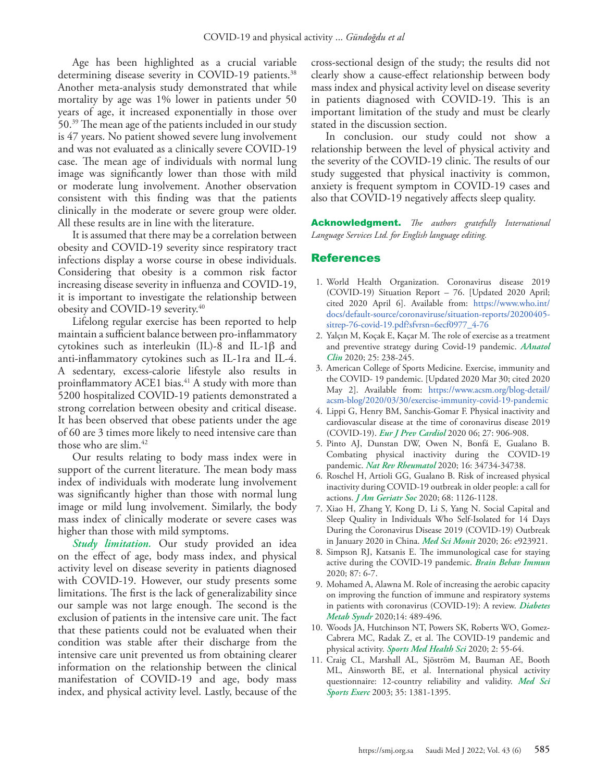Age has been highlighted as a crucial variable determining disease severity in COVID-19 patients.<sup>38</sup> Another meta-analysis study demonstrated that while mortality by age was 1% lower in patients under 50 years of age, it increased exponentially in those over 50[.39](#page-7-21) The mean age of the patients included in our study is 47 years. No patient showed severe lung involvement and was not evaluated as a clinically severe COVID-19 case. The mean age of individuals with normal lung image was significantly lower than those with mild or moderate lung involvement. Another observation consistent with this finding was that the patients clinically in the moderate or severe group were older. All these results are in line with the literature.

It is assumed that there may be a correlation between obesity and COVID-19 severity since respiratory tract infections display a worse course in obese individuals. Considering that obesity is a common risk factor increasing disease severity in influenza and COVID-19, it is important to investigate the relationship between obesity and COVID-19 severity[.40](#page-7-22)

Lifelong regular exercise has been reported to help maintain a sufficient balance between pro-inflammatory cytokines such as interleukin (IL)-8 and IL-1β and anti-inflammatory cytokines such as IL-1ra and IL-4. A sedentary, excess-calorie lifestyle also results in proinflammatory ACE1 bias.<sup>41</sup> A study with more than 5200 hospitalized COVID-19 patients demonstrated a strong correlation between obesity and critical disease. It has been observed that obese patients under the age of 60 are 3 times more likely to need intensive care than those who are slim[.42](#page-7-23)

Our results relating to body mass index were in support of the current literature. The mean body mass index of individuals with moderate lung involvement was significantly higher than those with normal lung image or mild lung involvement. Similarly, the body mass index of clinically moderate or severe cases was higher than those with mild symptoms.

*Study limitation.* Our study provided an idea on the effect of age, body mass index, and physical activity level on disease severity in patients diagnosed with COVID-19. However, our study presents some limitations. The first is the lack of generalizability since our sample was not large enough. The second is the exclusion of patients in the intensive care unit. The fact that these patients could not be evaluated when their condition was stable after their discharge from the intensive care unit prevented us from obtaining clearer information on the relationship between the clinical manifestation of COVID-19 and age, body mass index, and physical activity level. Lastly, because of the

cross-sectional design of the study; the results did not clearly show a cause-effect relationship between body mass index and physical activity level on disease severity in patients diagnosed with COVID-19. This is an important limitation of the study and must be clearly stated in the discussion section.

In conclusion. our study could not show a relationship between the level of physical activity and the severity of the COVID-19 clinic. The results of our study suggested that physical inactivity is common, anxiety is frequent symptom in COVID-19 cases and also that COVID-19 negatively affects sleep quality.

Acknowledgment. *The authors gratefully International Language Services Ltd. for English language editing.*

## References

- <span id="page-6-0"></span> 1. [World Health Organization. Coronavirus disease 2019](https://www.who.int/docs/default-source/coronaviruse/situation-reports/20200405-sitrep-76-covid-19.pdf?sfvrsn=6ecf0977_4-76)  [\(COVID-19\) Situation Report – 76. \[Updated 2020 April;](https://www.who.int/docs/default-source/coronaviruse/situation-reports/20200405-sitrep-76-covid-19.pdf?sfvrsn=6ecf0977_4-76)  [cited 2020 April 6\]. Available from: https://www.who.int/](https://www.who.int/docs/default-source/coronaviruse/situation-reports/20200405-sitrep-76-covid-19.pdf?sfvrsn=6ecf0977_4-76) [docs/default-source/coronaviruse/situation-reports/20200405](https://www.who.int/docs/default-source/coronaviruse/situation-reports/20200405-sitrep-76-covid-19.pdf?sfvrsn=6ecf0977_4-76) [sitrep-76-covid-19.pdf?sfvrsn=6ecf0977\\_4-76](https://www.who.int/docs/default-source/coronaviruse/situation-reports/20200405-sitrep-76-covid-19.pdf?sfvrsn=6ecf0977_4-76)
- <span id="page-6-1"></span> 2. [Yalçın M, Koçak E, Kaçar M. The role of exercise as a treatment](https://dergipark.org.tr/en/pub/anadoluklin/issue/53241/731902)  [and preventive strategy during Covid-19 pandemic.](https://dergipark.org.tr/en/pub/anadoluklin/issue/53241/731902) *AAnatol Clin* [2020; 25: 238-245.](https://dergipark.org.tr/en/pub/anadoluklin/issue/53241/731902)
- <span id="page-6-2"></span> 3. [American College of Sports Medicine. Exercise, immunity and](https://www.acsm.org/blog-detail/acsm-blog/2020/03/30/exercise-immunity-covid-19-pandemic)  [the COVID- 19 pandemic. \[Updated 2020 Mar 30; cited 2020](https://www.acsm.org/blog-detail/acsm-blog/2020/03/30/exercise-immunity-covid-19-pandemic)  [May 2\]. Available from: https://www.acsm.org/blog-detail/](https://www.acsm.org/blog-detail/acsm-blog/2020/03/30/exercise-immunity-covid-19-pandemic) [acsm-blog/2020/03/30/exercise-immunity-covid-19-pandemic](https://www.acsm.org/blog-detail/acsm-blog/2020/03/30/exercise-immunity-covid-19-pandemic)
- <span id="page-6-3"></span> 4. [Lippi G, Henry BM, Sanchis-Gomar F. Physical inactivity and](https://pubmed.ncbi.nlm.nih.gov/32270698/)  [cardiovascular disease at the time of coronavirus disease 2019](https://pubmed.ncbi.nlm.nih.gov/32270698/)  (COVID-19). *Eur J Prev Cardiol* [2020 06; 27: 906-908.](https://pubmed.ncbi.nlm.nih.gov/32270698/)
- <span id="page-6-5"></span> 5. [Pinto AJ, Dunstan DW, Owen N, Bonfá E, Gualano B.](https://pubmed.ncbi.nlm.nih.gov/32355296/)  [Combating physical inactivity during the COVID-19](https://pubmed.ncbi.nlm.nih.gov/32355296/)  pandemic. *Nat Rev Rheumatol* [2020; 16: 34734-34738.](https://pubmed.ncbi.nlm.nih.gov/32355296/)
- <span id="page-6-4"></span> 6. [Roschel H, Artioli GG, Gualano B. Risk of increased physical](https://pubmed.ncbi.nlm.nih.gov/32392620/)  [inactivity during COVID-19 outbreak in older people: a call for](https://pubmed.ncbi.nlm.nih.gov/32392620/)  actions. *J Am Geriatr Soc* [2020; 68: 1126-1128.](https://pubmed.ncbi.nlm.nih.gov/32392620/)
- <span id="page-6-6"></span> 7. [Xiao H, Zhang Y, Kong D, Li S, Yang N. Social Capital and](https://pubmed.ncbi.nlm.nih.gov/32194290/)  [Sleep Quality in Individuals Who Self-Isolated for 14 Days](https://pubmed.ncbi.nlm.nih.gov/32194290/)  [During the Coronavirus Disease 2019 \(COVID-19\) Outbreak](https://pubmed.ncbi.nlm.nih.gov/32194290/)  [in January 2020 in China.](https://pubmed.ncbi.nlm.nih.gov/32194290/) *Med Sci Monit* 2020; 26: e923921.
- <span id="page-6-7"></span> 8. [Simpson RJ, Katsanis E. The immunological case for staying](https://www.ncbi.nlm.nih.gov/pmc/articles/PMC7165095/)  [active during the COVID-19 pandemic.](https://www.ncbi.nlm.nih.gov/pmc/articles/PMC7165095/) *Brain Behav Immun* [2020; 87: 6-7.](https://www.ncbi.nlm.nih.gov/pmc/articles/PMC7165095/)
- <span id="page-6-8"></span> 9. [Mohamed A, Alawna M. Role of increasing the aerobic capacity](https://pubmed.ncbi.nlm.nih.gov/32388326/)  [on improving the function of immune and respiratory systems](https://pubmed.ncbi.nlm.nih.gov/32388326/)  [in patients with coronavirus \(COVID-19\): A review.](https://pubmed.ncbi.nlm.nih.gov/32388326/) *Diabetes Metab Syndr* [2020;14: 489-496.](https://pubmed.ncbi.nlm.nih.gov/32388326/)
- <span id="page-6-9"></span>10. [Woods JA, Hutchinson NT, Powers SK, Roberts WO, Gomez-](https://www.ncbi.nlm.nih.gov/pmc/articles/PMC7261095/)[Cabrera MC, Radak Z, et al. The COVID-19 pandemic and](https://www.ncbi.nlm.nih.gov/pmc/articles/PMC7261095/)  physical activity. *[Sports Med Health Sci](https://www.ncbi.nlm.nih.gov/pmc/articles/PMC7261095/)* 2020; 2: 55-64.
- <span id="page-6-10"></span>11. [Craig CL, Marshall AL, Sjöström M, Bauman AE, Booth](https://pubmed.ncbi.nlm.nih.gov/12900694/)  [ML, Ainsworth BE, et al. International physical activity](https://pubmed.ncbi.nlm.nih.gov/12900694/)  [questionnaire: 12-country reliability and validity.](https://pubmed.ncbi.nlm.nih.gov/12900694/) *Med Sci Sports Exerc* [2003; 35: 1381-1395.](https://pubmed.ncbi.nlm.nih.gov/12900694/)